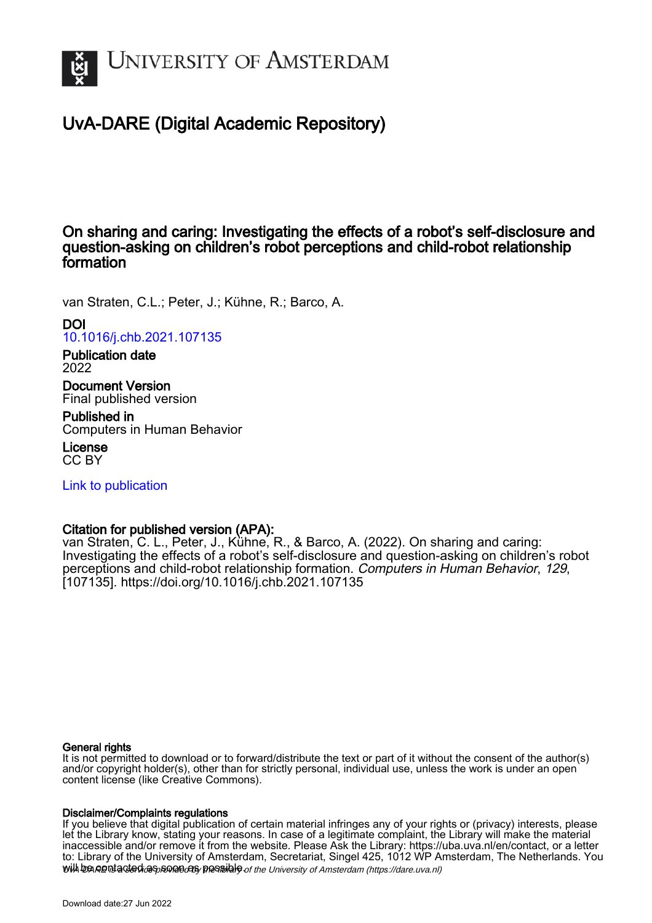

# UvA-DARE (Digital Academic Repository)

On sharing and caring: Investigating the effects of a robot's self-disclosure and question-asking on children's robot perceptions and child-robot relationship formation

van Straten, C.L.; Peter, J.; Kühne, R.; Barco, A.

DOI [10.1016/j.chb.2021.107135](https://doi.org/10.1016/j.chb.2021.107135)

Publication date 2022

Document Version Final published version

Published in Computers in Human Behavior

License CC BY

[Link to publication](https://dare.uva.nl/personal/pure/en/publications/on-sharing-and-caring-investigating-the-effects-of-a-robots-selfdisclosure-and-questionasking-on-childrens-robot-perceptions-and-childrobot-relationship-formation(732b6edf-bc55-42a0-817e-808cb28441a0).html)

## Citation for published version (APA):

van Straten, C. L., Peter, J., Kühne, R., & Barco, A. (2022). On sharing and caring: Investigating the effects of a robot's self-disclosure and question-asking on children's robot perceptions and child-robot relationship formation. Computers in Human Behavior, 129, [107135].<https://doi.org/10.1016/j.chb.2021.107135>

## General rights

It is not permitted to download or to forward/distribute the text or part of it without the consent of the author(s) and/or copyright holder(s), other than for strictly personal, individual use, unless the work is under an open content license (like Creative Commons).

## Disclaimer/Complaints regulations

will be contacted as sontacty pessible of the University of Amsterdam (https://dare.uva.nl) If you believe that digital publication of certain material infringes any of your rights or (privacy) interests, please let the Library know, stating your reasons. In case of a legitimate complaint, the Library will make the material inaccessible and/or remove it from the website. Please Ask the Library: https://uba.uva.nl/en/contact, or a letter to: Library of the University of Amsterdam, Secretariat, Singel 425, 1012 WP Amsterdam, The Netherlands. You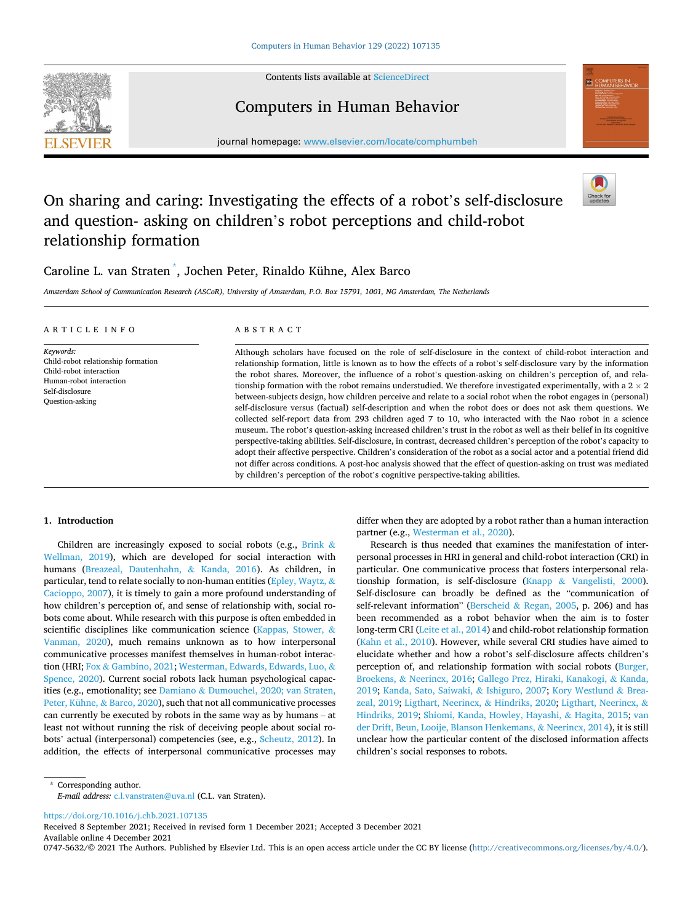

Contents lists available at [ScienceDirect](www.sciencedirect.com/science/journal/07475632)

# Computers in Human Behavior



journal homepage: [www.elsevier.com/locate/comphumbeh](https://www.elsevier.com/locate/comphumbeh) 

# On sharing and caring: Investigating the effects of a robot's self-disclosure and question- asking on children's robot perceptions and child-robot relationship formation



## Caroline L. van Straten \* , Jochen Peter, Rinaldo Kühne, Alex Barco

*Amsterdam School of Communication Research (ASCoR), University of Amsterdam, P.O. Box 15791, 1001, NG Amsterdam, The Netherlands* 

| ARTICLE INFO                                                                                                                                | ABSTRACT                                                                                                                                                                                                                                                                                                                                                                                                                                                                                                                                                                                                                                                                                                                                                                                                                                                                                                                                                                                                                                                                                                                                                                                                                                                                                                                                                                                                        |
|---------------------------------------------------------------------------------------------------------------------------------------------|-----------------------------------------------------------------------------------------------------------------------------------------------------------------------------------------------------------------------------------------------------------------------------------------------------------------------------------------------------------------------------------------------------------------------------------------------------------------------------------------------------------------------------------------------------------------------------------------------------------------------------------------------------------------------------------------------------------------------------------------------------------------------------------------------------------------------------------------------------------------------------------------------------------------------------------------------------------------------------------------------------------------------------------------------------------------------------------------------------------------------------------------------------------------------------------------------------------------------------------------------------------------------------------------------------------------------------------------------------------------------------------------------------------------|
| Keywords:<br>Child-robot relationship formation<br>Child-robot interaction<br>Human-robot interaction<br>Self-disclosure<br>Question-asking | Although scholars have focused on the role of self-disclosure in the context of child-robot interaction and<br>relationship formation, little is known as to how the effects of a robot's self-disclosure vary by the information<br>the robot shares. Moreover, the influence of a robot's question-asking on children's perception of, and rela-<br>tionship formation with the robot remains understudied. We therefore investigated experimentally, with a $2 \times 2$<br>between-subjects design, how children perceive and relate to a social robot when the robot engages in (personal)<br>self-disclosure versus (factual) self-description and when the robot does or does not ask them questions. We<br>collected self-report data from 293 children aged 7 to 10, who interacted with the Nao robot in a science<br>museum. The robot's question-asking increased children's trust in the robot as well as their belief in its cognitive<br>perspective-taking abilities. Self-disclosure, in contrast, decreased children's perception of the robot's capacity to<br>adopt their affective perspective. Children's consideration of the robot as a social actor and a potential friend did<br>not differ across conditions. A post-hoc analysis showed that the effect of question-asking on trust was mediated<br>by children's perception of the robot's cognitive perspective-taking abilities. |

## **1. Introduction**

Children are increasingly exposed to social robots (e.g., [Brink](#page-10-0)  $\&$ [Wellman, 2019](#page-10-0)), which are developed for social interaction with humans ([Breazeal, Dautenhahn,](#page-10-0) & Kanda, 2016). As children, in particular, tend to relate socially to non-human entities [\(Epley, Waytz,](#page-10-0)  $\&$ [Cacioppo, 2007\)](#page-10-0), it is timely to gain a more profound understanding of how children's perception of, and sense of relationship with, social robots come about. While research with this purpose is often embedded in scientific disciplines like communication science ([Kappas, Stower,](#page-10-0) & [Vanman, 2020\)](#page-10-0), much remains unknown as to how interpersonal communicative processes manifest themselves in human-robot interaction (HRI; Fox & [Gambino, 2021;](#page-10-0) [Westerman, Edwards, Edwards, Luo,](#page-11-0) & [Spence, 2020](#page-11-0)). Current social robots lack human psychological capacities (e.g., emotionality; see Damiano & [Dumouchel, 2020; van Straten,](#page-10-0)  [Peter, Kühne,](#page-10-0) & Barco, 2020), such that not all communicative processes can currently be executed by robots in the same way as by humans – at least not without running the risk of deceiving people about social robots' actual (interpersonal) competencies (see, e.g., [Scheutz, 2012\)](#page-11-0). In addition, the effects of interpersonal communicative processes may differ when they are adopted by a robot rather than a human interaction partner (e.g., [Westerman et al., 2020](#page-11-0)).

Research is thus needed that examines the manifestation of interpersonal processes in HRI in general and child-robot interaction (CRI) in particular. One communicative process that fosters interpersonal relationship formation, is self-disclosure (Knapp & [Vangelisti, 2000](#page-11-0)). Self-disclosure can broadly be defined as the "communication of self-relevant information" (Berscheid & [Regan, 2005,](#page-10-0) p. 206) and has been recommended as a robot behavior when the aim is to foster long-term CRI [\(Leite et al., 2014](#page-11-0)) and child-robot relationship formation ([Kahn et al., 2010](#page-10-0)). However, while several CRI studies have aimed to elucidate whether and how a robot's self-disclosure affects children's perception of, and relationship formation with social robots ([Burger,](#page-10-0)  Broekens, & [Neerincx, 2016](#page-10-0); [Gallego Prez, Hiraki, Kanakogi,](#page-10-0) & Kanda, [2019; Kanda, Sato, Saiwaki,](#page-10-0) & Ishiguro, 2007; [Kory Westlund](#page-11-0) & Brea[zeal, 2019](#page-11-0); [Ligthart, Neerincx,](#page-11-0) & Hindriks, 2020; [Ligthart, Neerincx,](#page-11-0) & [Hindriks, 2019; Shiomi, Kanda, Howley, Hayashi,](#page-11-0) & Hagita, 2015; [van](#page-10-0)  [der Drift, Beun, Looije, Blanson Henkemans,](#page-10-0) & Neerincx, 2014), it is still unclear how the particular content of the disclosed information affects children's social responses to robots.

\* Corresponding author. *E-mail address:* [c.l.vanstraten@uva.nl](mailto:c.l.vanstraten@uva.nl) (C.L. van Straten).

<https://doi.org/10.1016/j.chb.2021.107135>

Available online 4 December 2021 Received 8 September 2021; Received in revised form 1 December 2021; Accepted 3 December 2021

0747-5632/© 2021 The Authors. Published by Elsevier Ltd. This is an open access article under the CC BY license [\(http://creativecommons.org/licenses/by/4.0/\)](http://creativecommons.org/licenses/by/4.0/).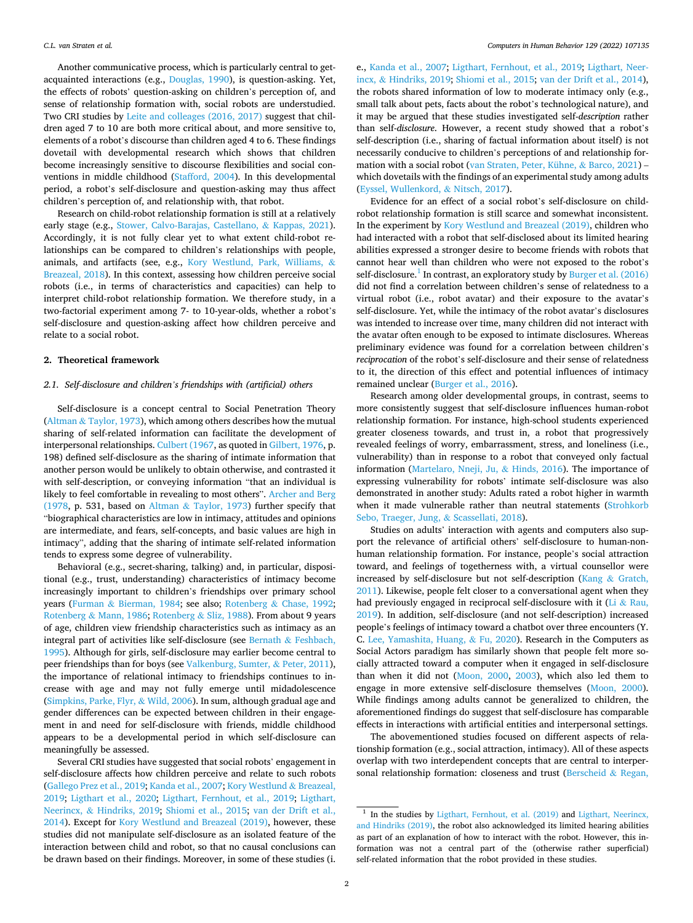Another communicative process, which is particularly central to getacquainted interactions (e.g., [Douglas, 1990\)](#page-10-0), is question-asking. Yet, the effects of robots' question-asking on children's perception of, and sense of relationship formation with, social robots are understudied. Two CRI studies by [Leite and colleages \(2016, 2017\)](#page-11-0) suggest that children aged 7 to 10 are both more critical about, and more sensitive to, elements of a robot's discourse than children aged 4 to 6. These findings dovetail with developmental research which shows that children become increasingly sensitive to discourse flexibilities and social conventions in middle childhood [\(Stafford, 2004\)](#page-11-0). In this developmental period, a robot's self-disclosure and question-asking may thus affect children's perception of, and relationship with, that robot.

Research on child-robot relationship formation is still at a relatively early stage (e.g., [Stower, Calvo-Barajas, Castellano,](#page-11-0) & Kappas, 2021). Accordingly, it is not fully clear yet to what extent child-robot relationships can be compared to children's relationships with people, animals, and artifacts (see, e.g., [Kory Westlund, Park, Williams,](#page-11-0) & [Breazeal, 2018](#page-11-0)). In this context, assessing how children perceive social robots (i.e., in terms of characteristics and capacities) can help to interpret child-robot relationship formation. We therefore study, in a two-factorial experiment among 7- to 10-year-olds, whether a robot's self-disclosure and question-asking affect how children perceive and relate to a social robot.

## **2. Theoretical framework**

## *2.1. Self-disclosure and children's friendships with (artificial) others*

Self-disclosure is a concept central to Social Penetration Theory (Altman & [Taylor, 1973\)](#page-10-0), which among others describes how the mutual sharing of self-related information can facilitate the development of interpersonal relationships. [Culbert \(1967,](#page-10-0) as quoted in [Gilbert, 1976,](#page-10-0) p. 198) defined self-disclosure as the sharing of intimate information that another person would be unlikely to obtain otherwise, and contrasted it with self-description, or conveying information "that an individual is likely to feel comfortable in revealing to most others". [Archer and Berg](#page-10-0)  [\(1978,](#page-10-0) p. 531, based on Altman & [Taylor, 1973\)](#page-10-0) further specify that "biographical characteristics are low in intimacy, attitudes and opinions are intermediate, and fears, self-concepts, and basic values are high in intimacy", adding that the sharing of intimate self-related information tends to express some degree of vulnerability.

Behavioral (e.g., secret-sharing, talking) and, in particular, dispositional (e.g., trust, understanding) characteristics of intimacy become increasingly important to children's friendships over primary school years (Furman & [Bierman, 1984;](#page-10-0) see also; Rotenberg & [Chase, 1992](#page-11-0); Rotenberg & [Mann, 1986; Rotenberg](#page-11-0) & Sliz, 1988). From about 9 years of age, children view friendship characteristics such as intimacy as an integral part of activities like self-disclosure (see Bernath & [Feshbach,](#page-10-0)  [1995\)](#page-10-0). Although for girls, self-disclosure may earlier become central to peer friendships than for boys (see [Valkenburg, Sumter,](#page-11-0) & Peter, 2011), the importance of relational intimacy to friendships continues to increase with age and may not fully emerge until midadolescence ([Simpkins, Parke, Flyr,](#page-11-0) & Wild, 2006). In sum, although gradual age and gender differences can be expected between children in their engagement in and need for self-disclosure with friends, middle childhood appears to be a developmental period in which self-disclosure can meaningfully be assessed.

Several CRI studies have suggested that social robots' engagement in self-disclosure affects how children perceive and relate to such robots ([Gallego Prez et al., 2019; Kanda et al., 2007;](#page-10-0) [Kory Westlund](#page-11-0) & Breazeal, [2019;](#page-11-0) [Ligthart et al., 2020](#page-11-0); [Ligthart, Fernhout, et al., 2019;](#page-11-0) [Ligthart,](#page-11-0)  Neerincx, & [Hindriks, 2019](#page-11-0); [Shiomi et al., 2015](#page-11-0); [van der Drift et al.,](#page-10-0)  [2014\)](#page-10-0). Except for [Kory Westlund and Breazeal \(2019\)](#page-11-0), however, these studies did not manipulate self-disclosure as an isolated feature of the interaction between child and robot, so that no causal conclusions can be drawn based on their findings. Moreover, in some of these studies (i.

e., [Kanda et al., 2007;](#page-10-0) [Ligthart, Fernhout, et al., 2019](#page-11-0); [Ligthart, Neer](#page-11-0)incx, & [Hindriks, 2019](#page-11-0); [Shiomi et al., 2015;](#page-11-0) [van der Drift et al., 2014](#page-10-0)), the robots shared information of low to moderate intimacy only (e.g., small talk about pets, facts about the robot's technological nature), and it may be argued that these studies investigated self-*description* rather than self-*disclosure*. However, a recent study showed that a robot's self-description (i.e., sharing of factual information about itself) is not necessarily conducive to children's perceptions of and relationship formation with a social robot ([van Straten, Peter, Kühne,](#page-11-0) & Barco, 2021) – which dovetails with the findings of an experimental study among adults ([Eyssel, Wullenkord,](#page-10-0) & Nitsch, 2017).

Evidence for an effect of a social robot's self-disclosure on childrobot relationship formation is still scarce and somewhat inconsistent. In the experiment by [Kory Westlund and Breazeal \(2019\),](#page-11-0) children who had interacted with a robot that self-disclosed about its limited hearing abilities expressed a stronger desire to become friends with robots that cannot hear well than children who were not exposed to the robot's self-disclosure.<sup>1</sup> In contrast, an exploratory study by Burger et al. (2016) did not find a correlation between children's sense of relatedness to a virtual robot (i.e., robot avatar) and their exposure to the avatar's self-disclosure. Yet, while the intimacy of the robot avatar's disclosures was intended to increase over time, many children did not interact with the avatar often enough to be exposed to intimate disclosures. Whereas preliminary evidence was found for a correlation between children's *reciprocation* of the robot's self-disclosure and their sense of relatedness to it, the direction of this effect and potential influences of intimacy remained unclear ([Burger et al., 2016](#page-10-0)).

Research among older developmental groups, in contrast, seems to more consistently suggest that self-disclosure influences human-robot relationship formation. For instance, high-school students experienced greater closeness towards, and trust in, a robot that progressively revealed feelings of worry, embarrassment, stress, and loneliness (i.e., vulnerability) than in response to a robot that conveyed only factual information [\(Martelaro, Nneji, Ju,](#page-11-0) & Hinds, 2016). The importance of expressing vulnerability for robots' intimate self-disclosure was also demonstrated in another study: Adults rated a robot higher in warmth when it made vulnerable rather than neutral statements ([Strohkorb](#page-11-0)  [Sebo, Traeger, Jung,](#page-11-0) & Scassellati, 2018).

Studies on adults' interaction with agents and computers also support the relevance of artificial others' self-disclosure to human-nonhuman relationship formation. For instance, people's social attraction toward, and feelings of togetherness with, a virtual counsellor were increased by self-disclosure but not self-description (Kang & [Gratch,](#page-10-0)  [2011\)](#page-10-0). Likewise, people felt closer to a conversational agent when they had previously engaged in reciprocal self-disclosure with it (Li & [Rau,](#page-11-0)  [2019\)](#page-11-0). In addition, self-disclosure (and not self-description) increased people's feelings of intimacy toward a chatbot over three encounters (Y. C. [Lee, Yamashita, Huang,](#page-11-0) & Fu, 2020). Research in the Computers as Social Actors paradigm has similarly shown that people felt more socially attracted toward a computer when it engaged in self-disclosure than when it did not ([Moon, 2000](#page-11-0), [2003](#page-11-0)), which also led them to engage in more extensive self-disclosure themselves ([Moon, 2000](#page-11-0)). While findings among adults cannot be generalized to children, the aforementioned findings do suggest that self-disclosure has comparable effects in interactions with artificial entities and interpersonal settings.

The abovementioned studies focused on different aspects of relationship formation (e.g., social attraction, intimacy). All of these aspects overlap with two interdependent concepts that are central to interpersonal relationship formation: closeness and trust [\(Berscheid](#page-10-0) & Regan,

 $1$  In the studies by [Ligthart, Fernhout, et al. \(2019\)](#page-11-0) and Ligthart, Neerincx, [and Hindriks \(2019\)](#page-11-0), the robot also acknowledged its limited hearing abilities as part of an explanation of how to interact with the robot. However, this information was not a central part of the (otherwise rather superficial) self-related information that the robot provided in these studies.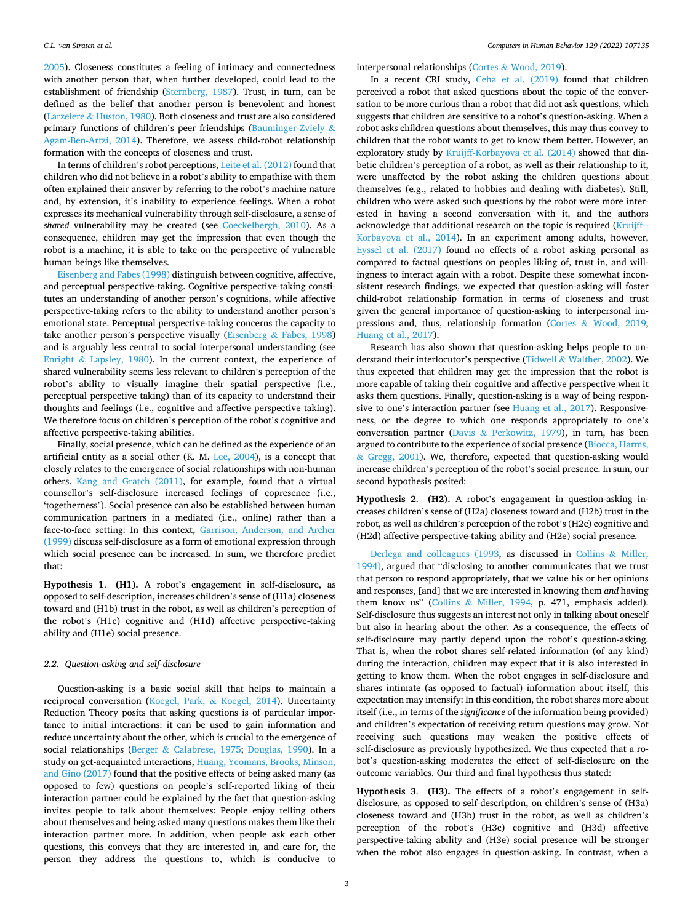[2005\)](#page-10-0). Closeness constitutes a feeling of intimacy and connectedness with another person that, when further developed, could lead to the establishment of friendship ([Sternberg, 1987](#page-11-0)). Trust, in turn, can be defined as the belief that another person is benevolent and honest (Larzelere & [Huston, 1980\)](#page-11-0). Both closeness and trust are also considered primary functions of children's peer friendships ([Bauminger-Zviely](#page-10-0) & [Agam-Ben-Artzi, 2014](#page-10-0)). Therefore, we assess child-robot relationship formation with the concepts of closeness and trust.

In terms of children's robot perceptions, [Leite et al. \(2012\)](#page-11-0) found that children who did not believe in a robot's ability to empathize with them often explained their answer by referring to the robot's machine nature and, by extension, it's inability to experience feelings. When a robot expresses its mechanical vulnerability through self-disclosure, a sense of *shared* vulnerability may be created (see [Coeckelbergh, 2010](#page-10-0)). As a consequence, children may get the impression that even though the robot is a machine, it is able to take on the perspective of vulnerable human beings like themselves.

[Eisenberg and Fabes \(1998\)](#page-10-0) distinguish between cognitive, affective, and perceptual perspective-taking. Cognitive perspective-taking constitutes an understanding of another person's cognitions, while affective perspective-taking refers to the ability to understand another person's emotional state. Perceptual perspective-taking concerns the capacity to take another person's perspective visually (Eisenberg  $\&$  [Fabes, 1998\)](#page-10-0) and is arguably less central to social interpersonal understanding (see Enright  $\&$  [Lapsley, 1980](#page-10-0)). In the current context, the experience of shared vulnerability seems less relevant to children's perception of the robot's ability to visually imagine their spatial perspective (i.e., perceptual perspective taking) than of its capacity to understand their thoughts and feelings (i.e., cognitive and affective perspective taking). We therefore focus on children's perception of the robot's cognitive and affective perspective-taking abilities.

Finally, social presence, which can be defined as the experience of an artificial entity as a social other (K. M. [Lee, 2004](#page-11-0)), is a concept that closely relates to the emergence of social relationships with non-human others. [Kang and Gratch \(2011\)](#page-10-0), for example, found that a virtual counsellor's self-disclosure increased feelings of copresence (i.e., 'togetherness'). Social presence can also be established between human communication partners in a mediated (i.e., online) rather than a face-to-face setting: In this context, [Garrison, Anderson, and Archer](#page-10-0)  [\(1999\)](#page-10-0) discuss self-disclosure as a form of emotional expression through which social presence can be increased. In sum, we therefore predict that:

**Hypothesis 1**. **(H1).** A robot's engagement in self-disclosure, as opposed to self-description, increases children's sense of (H1a) closeness toward and (H1b) trust in the robot, as well as children's perception of the robot's (H1c) cognitive and (H1d) affective perspective-taking ability and (H1e) social presence.

## *2.2. Question-asking and self-disclosure*

Question-asking is a basic social skill that helps to maintain a reciprocal conversation [\(Koegel, Park,](#page-11-0) & Koegel, 2014). Uncertainty Reduction Theory posits that asking questions is of particular importance to initial interactions: it can be used to gain information and reduce uncertainty about the other, which is crucial to the emergence of social relationships (Berger & [Calabrese, 1975](#page-10-0); [Douglas, 1990](#page-10-0)). In a study on get-acquainted interactions, [Huang, Yeomans, Brooks, Minson,](#page-10-0)  [and Gino \(2017\)](#page-10-0) found that the positive effects of being asked many (as opposed to few) questions on people's self-reported liking of their interaction partner could be explained by the fact that question-asking invites people to talk about themselves: People enjoy telling others about themselves and being asked many questions makes them like their interaction partner more. In addition, when people ask each other questions, this conveys that they are interested in, and care for, the person they address the questions to, which is conducive to

interpersonal relationships (Cortes & [Wood, 2019\)](#page-10-0).

In a recent CRI study, [Ceha et al. \(2019\)](#page-10-0) found that children perceived a robot that asked questions about the topic of the conversation to be more curious than a robot that did not ask questions, which suggests that children are sensitive to a robot's question-asking. When a robot asks children questions about themselves, this may thus convey to children that the robot wants to get to know them better. However, an exploratory study by [Kruijff-Korbayova et al. \(2014\)](#page-11-0) showed that diabetic children's perception of a robot, as well as their relationship to it, were unaffected by the robot asking the children questions about themselves (e.g., related to hobbies and dealing with diabetes). Still, children who were asked such questions by the robot were more interested in having a second conversation with it, and the authors acknowledge that additional research on the topic is required ([Kruijff--](#page-11-0)[Korbayova et al., 2014](#page-11-0)). In an experiment among adults, however, [Eyssel et al. \(2017\)](#page-10-0) found no effects of a robot asking personal as compared to factual questions on peoples liking of, trust in, and willingness to interact again with a robot. Despite these somewhat inconsistent research findings, we expected that question-asking will foster child-robot relationship formation in terms of closeness and trust given the general importance of question-asking to interpersonal impressions and, thus, relationship formation (Cortes & [Wood, 2019](#page-10-0); [Huang et al., 2017](#page-10-0)).

Research has also shown that question-asking helps people to understand their interlocutor's perspective (Tidwell & [Walther, 2002](#page-11-0)). We thus expected that children may get the impression that the robot is more capable of taking their cognitive and affective perspective when it asks them questions. Finally, question-asking is a way of being responsive to one's interaction partner (see [Huang et al., 2017\)](#page-10-0). Responsiveness, or the degree to which one responds appropriately to one's conversation partner (Davis & [Perkowitz, 1979\)](#page-10-0), in turn, has been argued to contribute to the experience of social presence ([Biocca, Harms,](#page-10-0)  & [Gregg, 2001\)](#page-10-0). We, therefore, expected that question-asking would increase children's perception of the robot's social presence. In sum, our second hypothesis posited:

**Hypothesis 2**. **(H2).** A robot's engagement in question-asking increases children's sense of (H2a) closeness toward and (H2b) trust in the robot, as well as children's perception of the robot's (H2c) cognitive and (H2d) affective perspective-taking ability and (H2e) social presence.

[Derlega and colleagues \(1993,](#page-10-0) as discussed in [Collins](#page-10-0) & Miller, [1994\),](#page-10-0) argued that "disclosing to another communicates that we trust that person to respond appropriately, that we value his or her opinions and responses, [and] that we are interested in knowing them *and* having them know us" (Collins & [Miller, 1994](#page-10-0), p. 471, emphasis added). Self-disclosure thus suggests an interest not only in talking about oneself but also in hearing about the other. As a consequence, the effects of self-disclosure may partly depend upon the robot's question-asking. That is, when the robot shares self-related information (of any kind) during the interaction, children may expect that it is also interested in getting to know them. When the robot engages in self-disclosure and shares intimate (as opposed to factual) information about itself, this expectation may intensify: In this condition, the robot shares more about itself (i.e., in terms of the *significance* of the information being provided) and children's expectation of receiving return questions may grow. Not receiving such questions may weaken the positive effects of self-disclosure as previously hypothesized. We thus expected that a robot's question-asking moderates the effect of self-disclosure on the outcome variables. Our third and final hypothesis thus stated:

**Hypothesis 3**. **(H3).** The effects of a robot's engagement in selfdisclosure, as opposed to self-description, on children's sense of (H3a) closeness toward and (H3b) trust in the robot, as well as children's perception of the robot's (H3c) cognitive and (H3d) affective perspective-taking ability and (H3e) social presence will be stronger when the robot also engages in question-asking. In contrast, when a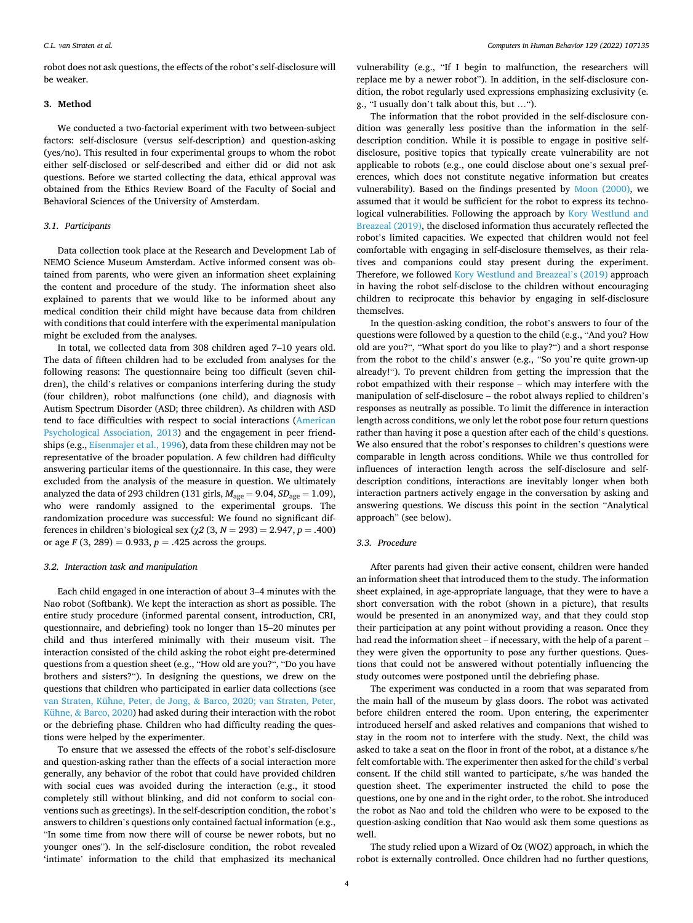robot does not ask questions, the effects of the robot's self-disclosure will be weaker.

## **3. Method**

We conducted a two-factorial experiment with two between-subject factors: self-disclosure (versus self-description) and question-asking (yes/no). This resulted in four experimental groups to whom the robot either self-disclosed or self-described and either did or did not ask questions. Before we started collecting the data, ethical approval was obtained from the Ethics Review Board of the Faculty of Social and Behavioral Sciences of the University of Amsterdam.

### *3.1. Participants*

Data collection took place at the Research and Development Lab of NEMO Science Museum Amsterdam. Active informed consent was obtained from parents, who were given an information sheet explaining the content and procedure of the study. The information sheet also explained to parents that we would like to be informed about any medical condition their child might have because data from children with conditions that could interfere with the experimental manipulation might be excluded from the analyses.

In total, we collected data from 308 children aged 7–10 years old. The data of fifteen children had to be excluded from analyses for the following reasons: The questionnaire being too difficult (seven children), the child's relatives or companions interfering during the study (four children), robot malfunctions (one child), and diagnosis with Autism Spectrum Disorder (ASD; three children). As children with ASD tend to face difficulties with respect to social interactions ([American](#page-10-0)  [Psychological Association, 2013\)](#page-10-0) and the engagement in peer friendships (e.g., [Eisenmajer et al., 1996](#page-10-0)), data from these children may not be representative of the broader population. A few children had difficulty answering particular items of the questionnaire. In this case, they were excluded from the analysis of the measure in question. We ultimately analyzed the data of 293 children (131 girls,  $M_{\text{age}} = 9.04$ ,  $SD_{\text{age}} = 1.09$ ), who were randomly assigned to the experimental groups. The randomization procedure was successful: We found no significant differences in children's biological sex (χ*2* (3, *N* = 293) = 2.947, *p* = .400) or age  $F(3, 289) = 0.933$ ,  $p = .425$  across the groups.

#### *3.2. Interaction task and manipulation*

Each child engaged in one interaction of about 3–4 minutes with the Nao robot (Softbank). We kept the interaction as short as possible. The entire study procedure (informed parental consent, introduction, CRI, questionnaire, and debriefing) took no longer than 15–20 minutes per child and thus interfered minimally with their museum visit. The interaction consisted of the child asking the robot eight pre-determined questions from a question sheet (e.g., "How old are you?", "Do you have brothers and sisters?"). In designing the questions, we drew on the questions that children who participated in earlier data collections (see [van Straten, Kühne, Peter, de Jong,](#page-11-0) & Barco, 2020; van Straten, Peter, Kühne, & [Barco, 2020](#page-11-0)) had asked during their interaction with the robot or the debriefing phase. Children who had difficulty reading the questions were helped by the experimenter.

To ensure that we assessed the effects of the robot's self-disclosure and question-asking rather than the effects of a social interaction more generally, any behavior of the robot that could have provided children with social cues was avoided during the interaction (e.g., it stood completely still without blinking, and did not conform to social conventions such as greetings). In the self-description condition, the robot's answers to children's questions only contained factual information (e.g., "In some time from now there will of course be newer robots, but no younger ones"). In the self-disclosure condition, the robot revealed 'intimate' information to the child that emphasized its mechanical

vulnerability (e.g., "If I begin to malfunction, the researchers will replace me by a newer robot"). In addition, in the self-disclosure condition, the robot regularly used expressions emphasizing exclusivity (e. g., "I usually don't talk about this, but …").

The information that the robot provided in the self-disclosure condition was generally less positive than the information in the selfdescription condition. While it is possible to engage in positive selfdisclosure, positive topics that typically create vulnerability are not applicable to robots (e.g., one could disclose about one's sexual preferences, which does not constitute negative information but creates vulnerability). Based on the findings presented by [Moon \(2000\),](#page-11-0) we assumed that it would be sufficient for the robot to express its technological vulnerabilities. Following the approach by [Kory Westlund and](#page-11-0)  [Breazeal \(2019\),](#page-11-0) the disclosed information thus accurately reflected the robot's limited capacities. We expected that children would not feel comfortable with engaging in self-disclosure themselves, as their relatives and companions could stay present during the experiment. Therefore, we followed [Kory Westlund and Breazeal](#page-11-0)'s (2019) approach in having the robot self-disclose to the children without encouraging children to reciprocate this behavior by engaging in self-disclosure themselves.

In the question-asking condition, the robot's answers to four of the questions were followed by a question to the child (e.g., "And you? How old are you?", "What sport do you like to play?") and a short response from the robot to the child's answer (e.g., "So you're quite grown-up already!"). To prevent children from getting the impression that the robot empathized with their response – which may interfere with the manipulation of self-disclosure – the robot always replied to children's responses as neutrally as possible. To limit the difference in interaction length across conditions, we only let the robot pose four return questions rather than having it pose a question after each of the child's questions. We also ensured that the robot's responses to children's questions were comparable in length across conditions. While we thus controlled for influences of interaction length across the self-disclosure and selfdescription conditions, interactions are inevitably longer when both interaction partners actively engage in the conversation by asking and answering questions. We discuss this point in the section "Analytical approach" (see below).

## *3.3. Procedure*

After parents had given their active consent, children were handed an information sheet that introduced them to the study. The information sheet explained, in age-appropriate language, that they were to have a short conversation with the robot (shown in a picture), that results would be presented in an anonymized way, and that they could stop their participation at any point without providing a reason. Once they had read the information sheet – if necessary, with the help of a parent – they were given the opportunity to pose any further questions. Questions that could not be answered without potentially influencing the study outcomes were postponed until the debriefing phase.

The experiment was conducted in a room that was separated from the main hall of the museum by glass doors. The robot was activated before children entered the room. Upon entering, the experimenter introduced herself and asked relatives and companions that wished to stay in the room not to interfere with the study. Next, the child was asked to take a seat on the floor in front of the robot, at a distance s/he felt comfortable with. The experimenter then asked for the child's verbal consent. If the child still wanted to participate, s/he was handed the question sheet. The experimenter instructed the child to pose the questions, one by one and in the right order, to the robot. She introduced the robot as Nao and told the children who were to be exposed to the question-asking condition that Nao would ask them some questions as well.

The study relied upon a Wizard of Oz (WOZ) approach, in which the robot is externally controlled. Once children had no further questions,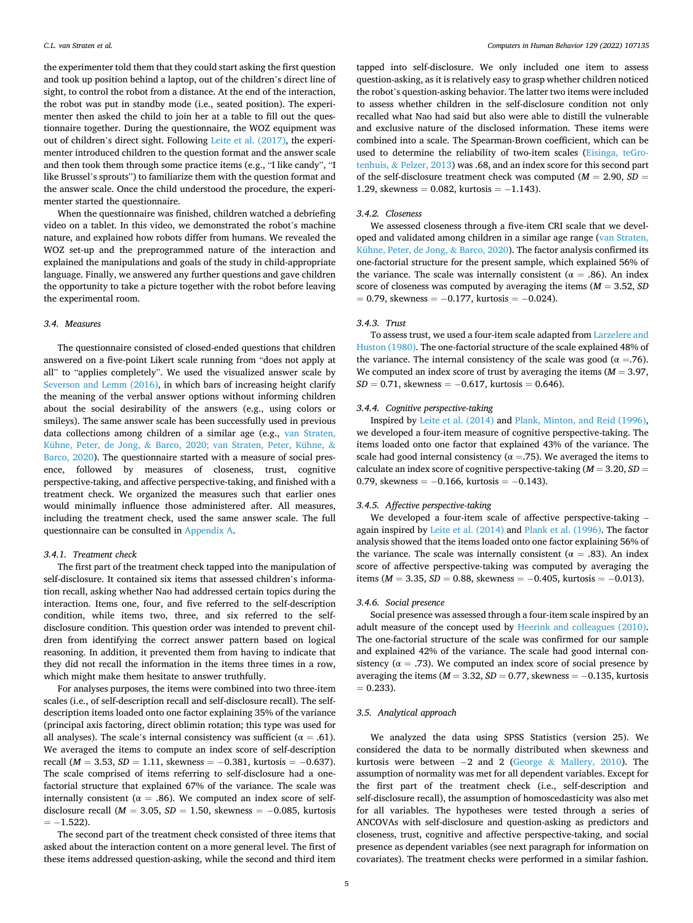the experimenter told them that they could start asking the first question and took up position behind a laptop, out of the children's direct line of sight, to control the robot from a distance. At the end of the interaction, the robot was put in standby mode (i.e., seated position). The experimenter then asked the child to join her at a table to fill out the questionnaire together. During the questionnaire, the WOZ equipment was out of children's direct sight. Following [Leite et al. \(2017\),](#page-11-0) the experimenter introduced children to the question format and the answer scale and then took them through some practice items (e.g., "I like candy", "I like Brussel's sprouts") to familiarize them with the question format and the answer scale. Once the child understood the procedure, the experimenter started the questionnaire.

When the questionnaire was finished, children watched a debriefing video on a tablet. In this video, we demonstrated the robot's machine nature, and explained how robots differ from humans. We revealed the WOZ set-up and the preprogrammed nature of the interaction and explained the manipulations and goals of the study in child-appropriate language. Finally, we answered any further questions and gave children the opportunity to take a picture together with the robot before leaving the experimental room.

## *3.4. Measures*

The questionnaire consisted of closed-ended questions that children answered on a five-point Likert scale running from "does not apply at all" to "applies completely". We used the visualized answer scale by [Severson and Lemm \(2016\),](#page-11-0) in which bars of increasing height clarify the meaning of the verbal answer options without informing children about the social desirability of the answers (e.g., using colors or smileys). The same answer scale has been successfully used in previous data collections among children of a similar age (e.g., [van Straten,](#page-11-0)  Kühne, Peter, de Jong, & [Barco, 2020; van Straten, Peter, Kühne,](#page-11-0) & [Barco, 2020\)](#page-11-0). The questionnaire started with a measure of social presence, followed by measures of closeness, trust, cognitive perspective-taking, and affective perspective-taking, and finished with a treatment check. We organized the measures such that earlier ones would minimally influence those administered after. All measures, including the treatment check, used the same answer scale. The full questionnaire can be consulted in [Appendix A](#page-8-0).

#### *3.4.1. Treatment check*

The first part of the treatment check tapped into the manipulation of self-disclosure. It contained six items that assessed children's information recall, asking whether Nao had addressed certain topics during the interaction. Items one, four, and five referred to the self-description condition, while items two, three, and six referred to the selfdisclosure condition. This question order was intended to prevent children from identifying the correct answer pattern based on logical reasoning. In addition, it prevented them from having to indicate that they did not recall the information in the items three times in a row, which might make them hesitate to answer truthfully.

For analyses purposes, the items were combined into two three-item scales (i.e., of self-description recall and self-disclosure recall). The selfdescription items loaded onto one factor explaining 35% of the variance (principal axis factoring, direct oblimin rotation; this type was used for all analyses). The scale's internal consistency was sufficient ( $\alpha = .61$ ). We averaged the items to compute an index score of self-description recall ( $M = 3.53$ ,  $SD = 1.11$ , skewness =  $-0.381$ , kurtosis =  $-0.637$ ). The scale comprised of items referring to self-disclosure had a onefactorial structure that explained 67% of the variance. The scale was internally consistent ( $\alpha = .86$ ). We computed an index score of selfdisclosure recall (*M* = 3.05, *SD* = 1.50, skewness = − 0.085, kurtosis  $= -1.522$ 

The second part of the treatment check consisted of three items that asked about the interaction content on a more general level. The first of these items addressed question-asking, while the second and third item

tapped into self-disclosure. We only included one item to assess question-asking, as it is relatively easy to grasp whether children noticed the robot's question-asking behavior. The latter two items were included to assess whether children in the self-disclosure condition not only recalled what Nao had said but also were able to distill the vulnerable and exclusive nature of the disclosed information. These items were combined into a scale. The Spearman-Brown coefficient, which can be used to determine the reliability of two-item scales ([Eisinga, teGro](#page-10-0)tenhuis, & [Pelzer, 2013](#page-10-0)) was .68, and an index score for this second part of the self-disclosure treatment check was computed (*M* = 2.90, *SD* = 1.29, skewness = 0.082, kurtosis =  $-1.143$ ).

## *3.4.2. Closeness*

We assessed closeness through a five-item CRI scale that we developed and validated among children in a similar age range [\(van Straten,](#page-11-0)  [Kühne, Peter, de Jong,](#page-11-0) & Barco, 2020). The factor analysis confirmed its one-factorial structure for the present sample, which explained 56% of the variance. The scale was internally consistent ( $\alpha = .86$ ). An index score of closeness was computed by averaging the items  $(M = 3.52, SD)$  $= 0.79$ , skewness  $= -0.177$ , kurtosis  $= -0.024$ ).

#### *3.4.3. Trust*

To assess trust, we used a four-item scale adapted from [Larzelere and](#page-11-0)  [Huston \(1980\).](#page-11-0) The one-factorial structure of the scale explained 48% of the variance. The internal consistency of the scale was good ( $\alpha = .76$ ). We computed an index score of trust by averaging the items  $(M = 3.97,$  $SD = 0.71$ , skewness =  $-0.617$ , kurtosis = 0.646).

#### *3.4.4. Cognitive perspective-taking*

Inspired by [Leite et al. \(2014\)](#page-11-0) and [Plank, Minton, and Reid \(1996\)](#page-11-0), we developed a four-item measure of cognitive perspective-taking. The items loaded onto one factor that explained 43% of the variance. The scale had good internal consistency ( $\alpha = 75$ ). We averaged the items to calculate an index score of cognitive perspective-taking (*M* = 3.20, *SD* = 0.79, skewness =  $-0.166$ , kurtosis =  $-0.143$ ).

### *3.4.5. Affective perspective-taking*

We developed a four-item scale of affective perspective-taking – again inspired by [Leite et al. \(2014\)](#page-11-0) and [Plank et al. \(1996\).](#page-11-0) The factor analysis showed that the items loaded onto one factor explaining 56% of the variance. The scale was internally consistent ( $\alpha = .83$ ). An index score of affective perspective-taking was computed by averaging the items ( $M = 3.35$ ,  $SD = 0.88$ , skewness = −0.405, kurtosis = −0.013).

### *3.4.6. Social presence*

Social presence was assessed through a four-item scale inspired by an adult measure of the concept used by [Heerink and colleagues \(2010\)](#page-10-0). The one-factorial structure of the scale was confirmed for our sample and explained 42% of the variance. The scale had good internal consistency ( $\alpha = .73$ ). We computed an index score of social presence by averaging the items ( $M = 3.32$ ,  $SD = 0.77$ , skewness =  $-0.135$ , kurtosis  $= 0.233$ .

## *3.5. Analytical approach*

We analyzed the data using SPSS Statistics (version 25). We considered the data to be normally distributed when skewness and kurtosis were between  $-2$  and 2 (George & [Mallery, 2010](#page-10-0)). The assumption of normality was met for all dependent variables. Except for the first part of the treatment check (i.e., self-description and self-disclosure recall), the assumption of homoscedasticity was also met for all variables. The hypotheses were tested through a series of ANCOVAs with self-disclosure and question-asking as predictors and closeness, trust, cognitive and affective perspective-taking, and social presence as dependent variables (see next paragraph for information on covariates). The treatment checks were performed in a similar fashion.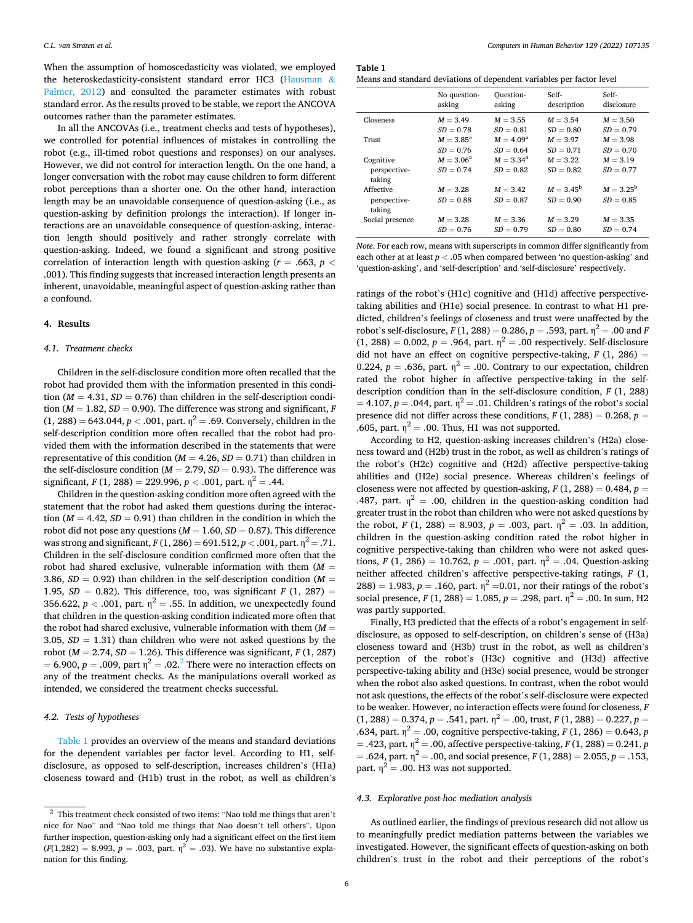When the assumption of homoscedasticity was violated, we employed the heteroskedasticity-consistent standard error HC3 ([Hausman](#page-10-0) & [Palmer, 2012](#page-10-0)) and consulted the parameter estimates with robust standard error. As the results proved to be stable, we report the ANCOVA outcomes rather than the parameter estimates.

In all the ANCOVAs (i.e., treatment checks and tests of hypotheses), we controlled for potential influences of mistakes in controlling the robot (e.g., ill-timed robot questions and responses) on our analyses. However, we did not control for interaction length. On the one hand, a longer conversation with the robot may cause children to form different robot perceptions than a shorter one. On the other hand, interaction length may be an unavoidable consequence of question-asking (i.e., as question-asking by definition prolongs the interaction). If longer interactions are an unavoidable consequence of question-asking, interaction length should positively and rather strongly correlate with question-asking. Indeed, we found a significant and strong positive correlation of interaction length with question-asking ( $r = .663$ ,  $p <$ .001). This finding suggests that increased interaction length presents an inherent, unavoidable, meaningful aspect of question-asking rather than a confound.

#### **4. Results**

#### *4.1. Treatment checks*

Children in the self-disclosure condition more often recalled that the robot had provided them with the information presented in this condition ( $M = 4.31$ ,  $SD = 0.76$ ) than children in the self-description condition ( $M = 1.82$ ,  $SD = 0.90$ ). The difference was strong and significant, *F*  $(1, 288) = 643.044, p < .001$ , part.  $\eta^2 = .69$ . Conversely, children in the self-description condition more often recalled that the robot had provided them with the information described in the statements that were representative of this condition ( $M = 4.26$ ,  $SD = 0.71$ ) than children in the self-disclosure condition ( $M = 2.79$ ,  $SD = 0.93$ ). The difference was significant,  $F(1, 288) = 229.996$ ,  $p < .001$ , part.  $\eta^2 = .44$ .

Children in the question-asking condition more often agreed with the statement that the robot had asked them questions during the interaction ( $M = 4.42$ ,  $SD = 0.91$ ) than children in the condition in which the robot did not pose any questions ( $M = 1.60$ ,  $SD = 0.87$ ). This difference was strong and significant,  $F(1, 286) = 691.512$ ,  $p < .001$ , part.  $\eta^2 = .71$ . Children in the self-disclosure condition confirmed more often that the robot had shared exclusive, vulnerable information with them  $(M =$ 3.86,  $SD = 0.92$ ) than children in the self-description condition ( $M =$ 1.95,  $SD = 0.82$ ). This difference, too, was significant *F* (1, 287) = 356.622,  $p < .001$ , part.  $\eta^2 = .55$ . In addition, we unexpectedly found that children in the question-asking condition indicated more often that the robot had shared exclusive, vulnerable information with them  $(M =$ 3.05,  $SD = 1.31$ ) than children who were not asked questions by the robot ( $M = 2.74$ ,  $SD = 1.26$ ). This difference was significant,  $F(1, 287)$  $= 6.900, p = .009$ , part  $\eta^2 = .02$ .<sup>2</sup> There were no interaction effects on any of the treatment checks. As the manipulations overall worked as intended, we considered the treatment checks successful.

#### *4.2. Tests of hypotheses*

Table 1 provides an overview of the means and standard deviations for the dependent variables per factor level. According to H1, selfdisclosure, as opposed to self-description, increases children's (H1a) closeness toward and (H1b) trust in the robot, as well as children's

**Table 1** 

|                                     | No question-                | Question-                         | Self-                             | Self-                             |
|-------------------------------------|-----------------------------|-----------------------------------|-----------------------------------|-----------------------------------|
|                                     | asking                      | asking                            | description                       | disclosure                        |
| Closeness                           | $M = 3.49$                  | $M = 3.55$                        | $M = 3.54$                        | $M = 3.50$                        |
|                                     | $SD = 0.78$                 | $SD = 0.81$                       | $SD = 0.80$                       | $SD = 0.79$                       |
| Trust                               | $M = 3.85^{\rm a}$          | $M = 4.09^{\rm a}$                | $M = 3.97$                        | $M = 3.98$                        |
|                                     | $SD = 0.76$                 | $SD = 0.64$                       | $SD = 0.71$                       | $SD = 0.70$                       |
| Cognitive<br>perspective-<br>taking | $M = 3.06^a$<br>$SD = 0.74$ | $M = 3.34^{\rm a}$<br>$SD = 0.82$ | $M = 3.22$<br>$SD = 0.82$         | $M = 3.19$<br>$SD = 0.77$         |
| Affective<br>perspective-<br>taking | $M = 3.28$<br>$SD = 0.88$   | $M = 3.42$<br>$SD = 0.87$         | $M = 3.45^{\rm b}$<br>$SD = 0.90$ | $M = 3.25^{\rm b}$<br>$SD = 0.85$ |
| Social presence                     | $M = 3.28$                  | $M = 3.36$                        | $M = 3.29$                        | $M = 3.35$                        |
|                                     | $SD = 0.76$                 | $SD = 0.79$                       | $SD = 0.80$                       | $SD = 0.74$                       |

*Note*. For each row, means with superscripts in common differ significantly from each other at at least *p <* .05 when compared between 'no question-asking' and 'question-asking', and 'self-description' and 'self-disclosure' respectively.

ratings of the robot's (H1c) cognitive and (H1d) affective perspectivetaking abilities and (H1e) social presence. In contrast to what H1 predicted, children's feelings of closeness and trust were unaffected by the robot's self-disclosure,  $F(1, 288) = 0.286$ ,  $p = .593$ , part.  $\eta^2 = .00$  and *F* (1, 288) = 0.002,  $p = .964$ , part.  $\eta^2 = .00$  respectively. Self-disclosure did not have an effect on cognitive perspective-taking,  $F(1, 286) =$ 0.224,  $p = .636$ , part.  $\eta^2 = .00$ . Contrary to our expectation, children rated the robot higher in affective perspective-taking in the selfdescription condition than in the self-disclosure condition, *F* (1, 288)  $= 4.107, p = .044$ , part.  $\eta^2 = .01$ . Children's ratings of the robot's social presence did not differ across these conditions,  $F(1, 288) = 0.268$ ,  $p =$ .605, part.  $\eta^2 = .00$ . Thus, H1 was not supported.

According to H2, question-asking increases children's (H2a) closeness toward and (H2b) trust in the robot, as well as children's ratings of the robot's (H2c) cognitive and (H2d) affective perspective-taking abilities and (H2e) social presence. Whereas children's feelings of closeness were not affected by question-asking,  $F(1, 288) = 0.484$ ,  $p =$ .487, part.  $\eta^2 = .00$ , children in the question-asking condition had greater trust in the robot than children who were not asked questions by the robot, *F* (1, 288) = 8.903, *p* = .003, part.  $\eta^2$  = .03. In addition, children in the question-asking condition rated the robot higher in cognitive perspective-taking than children who were not asked questions, *F* (1, 286) = 10.762, *p* = .001, part.  $\eta^2$  = .04. Question-asking neither affected children's affective perspective-taking ratings, *F* (1,  $288$ ) = 1.983,  $p = .160$ , part.  $\eta^2 = 0.01$ , nor their ratings of the robot's social presence,  $F(1, 288) = 1.085$ ,  $p = .298$ , part.  $\eta^2 = .00$ . In sum, H2 was partly supported.

Finally, H3 predicted that the effects of a robot's engagement in selfdisclosure, as opposed to self-description, on children's sense of (H3a) closeness toward and (H3b) trust in the robot, as well as children's perception of the robot's (H3c) cognitive and (H3d) affective perspective-taking ability and (H3e) social presence, would be stronger when the robot also asked questions. In contrast, when the robot would not ask questions, the effects of the robot's self-disclosure were expected to be weaker. However, no interaction effects were found for closeness, *F*   $(1, 288) = 0.374, p = .541,$  part.  $\eta^2 = .00$ , trust,  $F(1, 288) = 0.227, p =$ .634, part.  $\eta^2 = .00$ , cognitive perspective-taking,  $F(1, 286) = 0.643$ , *p*  $=$  .423, part.  $\eta^2 = .00$ , affective perspective-taking, *F* (1, 288) = 0.241, *p*  $=$  .624, part.  $\eta^2 = .00$ , and social presence, *F* (1, 288) = 2.055, *p* = .153, part.  $\eta^2$  = .00. H3 was not supported.

### *4.3. Explorative post-hoc mediation analysis*

As outlined earlier, the findings of previous research did not allow us to meaningfully predict mediation patterns between the variables we investigated. However, the significant effects of question-asking on both children's trust in the robot and their perceptions of the robot's

 $^{\rm 2}$  This treatment check consisted of two items: "Nao told me things that aren't nice for Nao" and "Nao told me things that Nao doesn't tell others". Upon further inspection, question-asking only had a significant effect on the first item  $(F(1,282) = 8.993, p = .003, part.$   $\eta^2 = .03$ ). We have no substantive explanation for this finding.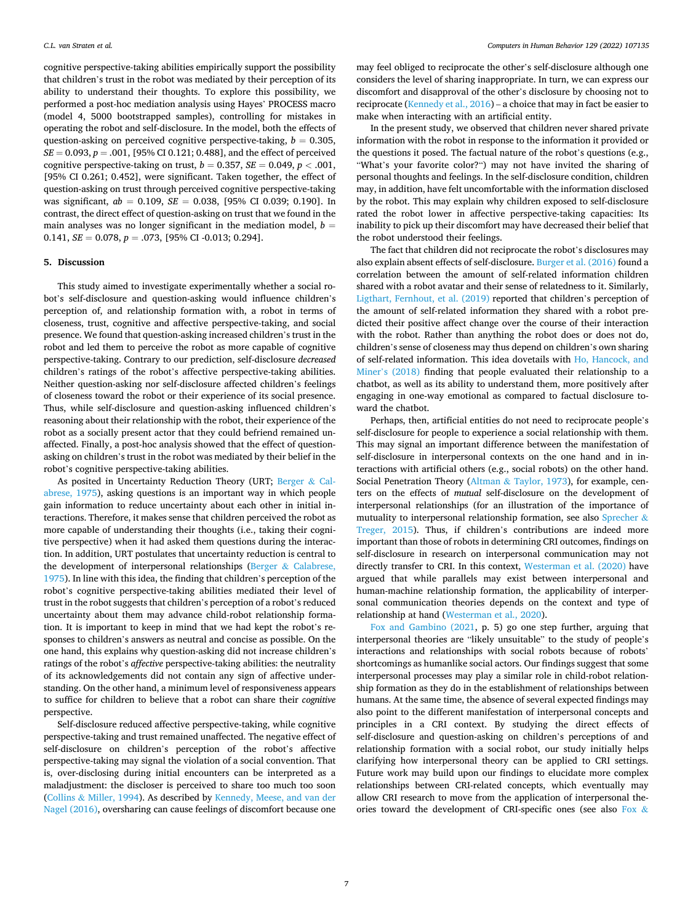cognitive perspective-taking abilities empirically support the possibility that children's trust in the robot was mediated by their perception of its ability to understand their thoughts. To explore this possibility, we performed a post-hoc mediation analysis using Hayes' PROCESS macro (model 4, 5000 bootstrapped samples), controlling for mistakes in operating the robot and self-disclosure. In the model, both the effects of question-asking on perceived cognitive perspective-taking,  $b = 0.305$ , *SE* = 0.093, *p* = .001, [95% CI 0.121; 0.488], and the effect of perceived cognitive perspective-taking on trust,  $b = 0.357$ ,  $SE = 0.049$ ,  $p < .001$ , [95% CI 0.261; 0.452], were significant. Taken together, the effect of question-asking on trust through perceived cognitive perspective-taking was significant, *ab* = 0.109, *SE* = 0.038, [95% CI 0.039; 0.190]. In contrast, the direct effect of question-asking on trust that we found in the main analyses was no longer significant in the mediation model,  $b =$ 0.141, *SE* = 0.078, *p* = .073, [95% CI -0.013; 0.294].

## **5. Discussion**

This study aimed to investigate experimentally whether a social robot's self-disclosure and question-asking would influence children's perception of, and relationship formation with, a robot in terms of closeness, trust, cognitive and affective perspective-taking, and social presence. We found that question-asking increased children's trust in the robot and led them to perceive the robot as more capable of cognitive perspective-taking. Contrary to our prediction, self-disclosure *decreased*  children's ratings of the robot's affective perspective-taking abilities. Neither question-asking nor self-disclosure affected children's feelings of closeness toward the robot or their experience of its social presence. Thus, while self-disclosure and question-asking influenced children's reasoning about their relationship with the robot, their experience of the robot as a socially present actor that they could befriend remained unaffected. Finally, a post-hoc analysis showed that the effect of questionasking on children's trust in the robot was mediated by their belief in the robot's cognitive perspective-taking abilities.

As posited in Uncertainty Reduction Theory (URT; [Berger](#page-10-0) & Cal[abrese, 1975\)](#page-10-0), asking questions is an important way in which people gain information to reduce uncertainty about each other in initial interactions. Therefore, it makes sense that children perceived the robot as more capable of understanding their thoughts (i.e., taking their cognitive perspective) when it had asked them questions during the interaction. In addition, URT postulates that uncertainty reduction is central to the development of interpersonal relationships (Berger & [Calabrese,](#page-10-0)  [1975\)](#page-10-0). In line with this idea, the finding that children's perception of the robot's cognitive perspective-taking abilities mediated their level of trust in the robot suggests that children's perception of a robot's reduced uncertainty about them may advance child-robot relationship formation. It is important to keep in mind that we had kept the robot's responses to children's answers as neutral and concise as possible. On the one hand, this explains why question-asking did not increase children's ratings of the robot's *affective* perspective-taking abilities: the neutrality of its acknowledgements did not contain any sign of affective understanding. On the other hand, a minimum level of responsiveness appears to suffice for children to believe that a robot can share their *cognitive*  perspective.

Self-disclosure reduced affective perspective-taking, while cognitive perspective-taking and trust remained unaffected. The negative effect of self-disclosure on children's perception of the robot's affective perspective-taking may signal the violation of a social convention. That is, over-disclosing during initial encounters can be interpreted as a maladjustment: the discloser is perceived to share too much too soon (Collins & [Miller, 1994](#page-10-0)). As described by [Kennedy, Meese, and van der](#page-11-0)  [Nagel \(2016\),](#page-11-0) oversharing can cause feelings of discomfort because one may feel obliged to reciprocate the other's self-disclosure although one considers the level of sharing inappropriate. In turn, we can express our discomfort and disapproval of the other's disclosure by choosing not to reciprocate ([Kennedy et al., 2016\)](#page-11-0) – a choice that may in fact be easier to make when interacting with an artificial entity.

In the present study, we observed that children never shared private information with the robot in response to the information it provided or the questions it posed. The factual nature of the robot's questions (e.g., "What's your favorite color?") may not have invited the sharing of personal thoughts and feelings. In the self-disclosure condition, children may, in addition, have felt uncomfortable with the information disclosed by the robot. This may explain why children exposed to self-disclosure rated the robot lower in affective perspective-taking capacities: Its inability to pick up their discomfort may have decreased their belief that the robot understood their feelings.

The fact that children did not reciprocate the robot's disclosures may also explain absent effects of self-disclosure. [Burger et al. \(2016\)](#page-10-0) found a correlation between the amount of self-related information children shared with a robot avatar and their sense of relatedness to it. Similarly, [Ligthart, Fernhout, et al. \(2019\)](#page-11-0) reported that children's perception of the amount of self-related information they shared with a robot predicted their positive affect change over the course of their interaction with the robot. Rather than anything the robot does or does not do, children's sense of closeness may thus depend on children's own sharing of self-related information. This idea dovetails with [Ho, Hancock, and](#page-10-0)  Miner'[s \(2018\)](#page-10-0) finding that people evaluated their relationship to a chatbot, as well as its ability to understand them, more positively after engaging in one-way emotional as compared to factual disclosure toward the chatbot.

Perhaps, then, artificial entities do not need to reciprocate people's self-disclosure for people to experience a social relationship with them. This may signal an important difference between the manifestation of self-disclosure in interpersonal contexts on the one hand and in interactions with artificial others (e.g., social robots) on the other hand. Social Penetration Theory (Altman & [Taylor, 1973\)](#page-10-0), for example, centers on the effects of *mutual* self-disclosure on the development of interpersonal relationships (for an illustration of the importance of mutuality to interpersonal relationship formation, see also [Sprecher](#page-11-0)  $\&$ [Treger, 2015](#page-11-0)). Thus, if children's contributions are indeed more important than those of robots in determining CRI outcomes, findings on self-disclosure in research on interpersonal communication may not directly transfer to CRI. In this context, [Westerman et al. \(2020\)](#page-11-0) have argued that while parallels may exist between interpersonal and human-machine relationship formation, the applicability of interpersonal communication theories depends on the context and type of relationship at hand [\(Westerman et al., 2020](#page-11-0)).

[Fox and Gambino \(2021](#page-10-0), p. 5) go one step further, arguing that interpersonal theories are "likely unsuitable" to the study of people's interactions and relationships with social robots because of robots' shortcomings as humanlike social actors. Our findings suggest that some interpersonal processes may play a similar role in child-robot relationship formation as they do in the establishment of relationships between humans. At the same time, the absence of several expected findings may also point to the different manifestation of interpersonal concepts and principles in a CRI context. By studying the direct effects of self-disclosure and question-asking on children's perceptions of and relationship formation with a social robot, our study initially helps clarifying how interpersonal theory can be applied to CRI settings. Future work may build upon our findings to elucidate more complex relationships between CRI-related concepts, which eventually may allow CRI research to move from the application of interpersonal theories toward the development of CRI-specific ones (see also [Fox](#page-10-0) &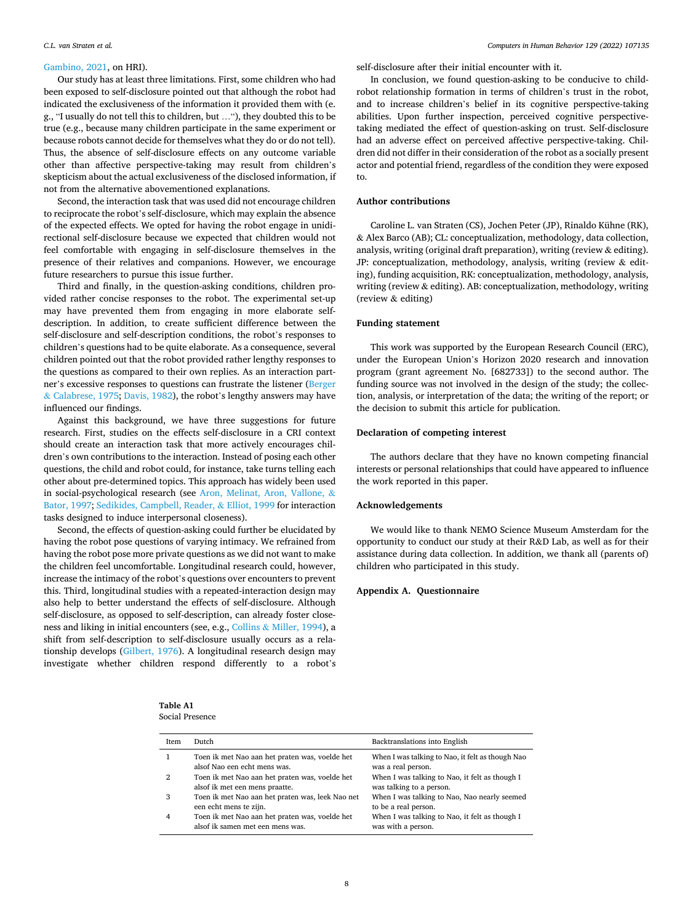#### <span id="page-8-0"></span>*C.L. van Straten et al.*

## [Gambino, 2021](#page-10-0), on HRI).

Our study has at least three limitations. First, some children who had been exposed to self-disclosure pointed out that although the robot had indicated the exclusiveness of the information it provided them with (e. g., "I usually do not tell this to children, but …"), they doubted this to be true (e.g., because many children participate in the same experiment or because robots cannot decide for themselves what they do or do not tell). Thus, the absence of self-disclosure effects on any outcome variable other than affective perspective-taking may result from children's skepticism about the actual exclusiveness of the disclosed information, if not from the alternative abovementioned explanations.

Second, the interaction task that was used did not encourage children to reciprocate the robot's self-disclosure, which may explain the absence of the expected effects. We opted for having the robot engage in unidirectional self-disclosure because we expected that children would not feel comfortable with engaging in self-disclosure themselves in the presence of their relatives and companions. However, we encourage future researchers to pursue this issue further.

Third and finally, in the question-asking conditions, children provided rather concise responses to the robot. The experimental set-up may have prevented them from engaging in more elaborate selfdescription. In addition, to create sufficient difference between the self-disclosure and self-description conditions, the robot's responses to children's questions had to be quite elaborate. As a consequence, several children pointed out that the robot provided rather lengthy responses to the questions as compared to their own replies. As an interaction partner's excessive responses to questions can frustrate the listener ([Berger](#page-10-0)  & [Calabrese, 1975](#page-10-0); [Davis, 1982](#page-10-0)), the robot's lengthy answers may have influenced our findings.

Against this background, we have three suggestions for future research. First, studies on the effects self-disclosure in a CRI context should create an interaction task that more actively encourages children's own contributions to the interaction. Instead of posing each other questions, the child and robot could, for instance, take turns telling each other about pre-determined topics. This approach has widely been used in social-psychological research (see [Aron, Melinat, Aron, Vallone,](#page-10-0) & [Bator, 1997;](#page-10-0) [Sedikides, Campbell, Reader,](#page-11-0) & Elliot, 1999 for interaction tasks designed to induce interpersonal closeness).

Second, the effects of question-asking could further be elucidated by having the robot pose questions of varying intimacy. We refrained from having the robot pose more private questions as we did not want to make the children feel uncomfortable. Longitudinal research could, however, increase the intimacy of the robot's questions over encounters to prevent this. Third, longitudinal studies with a repeated-interaction design may also help to better understand the effects of self-disclosure. Although self-disclosure, as opposed to self-description, can already foster closeness and liking in initial encounters (see, e.g., Collins & [Miller, 1994](#page-10-0)), a shift from self-description to self-disclosure usually occurs as a relationship develops ([Gilbert, 1976](#page-10-0)). A longitudinal research design may investigate whether children respond differently to a robot's

self-disclosure after their initial encounter with it.

In conclusion, we found question-asking to be conducive to childrobot relationship formation in terms of children's trust in the robot, and to increase children's belief in its cognitive perspective-taking abilities. Upon further inspection, perceived cognitive perspectivetaking mediated the effect of question-asking on trust. Self-disclosure had an adverse effect on perceived affective perspective-taking. Children did not differ in their consideration of the robot as a socially present actor and potential friend, regardless of the condition they were exposed to.

## **Author contributions**

Caroline L. van Straten (CS), Jochen Peter (JP), Rinaldo Kühne (RK), & Alex Barco (AB); CL: conceptualization, methodology, data collection, analysis, writing (original draft preparation), writing (review & editing). JP: conceptualization, methodology, analysis, writing (review & editing), funding acquisition, RK: conceptualization, methodology, analysis, writing (review & editing). AB: conceptualization, methodology, writing (review & editing)

#### **Funding statement**

This work was supported by the European Research Council (ERC), under the European Union's Horizon 2020 research and innovation program (grant agreement No. [682733]) to the second author. The funding source was not involved in the design of the study; the collection, analysis, or interpretation of the data; the writing of the report; or the decision to submit this article for publication.

### **Declaration of competing interest**

The authors declare that they have no known competing financial interests or personal relationships that could have appeared to influence the work reported in this paper.

## **Acknowledgements**

We would like to thank NEMO Science Museum Amsterdam for the opportunity to conduct our study at their R&D Lab, as well as for their assistance during data collection. In addition, we thank all (parents of) children who participated in this study.

## **Appendix A. Questionnaire**

**Table A1**  Social Presence

| Item | Dutch                                                                              | Backtranslations into English                                              |
|------|------------------------------------------------------------------------------------|----------------------------------------------------------------------------|
|      | Toen ik met Nao aan het praten was, voelde het<br>alsof Nao een echt mens was.     | When I was talking to Nao, it felt as though Nao<br>was a real person.     |
| 2    | Toen ik met Nao aan het praten was, voelde het<br>alsof ik met een mens praatte.   | When I was talking to Nao, it felt as though I<br>was talking to a person. |
| 3    | Toen ik met Nao aan het praten was, leek Nao net<br>een echt mens te zijn.         | When I was talking to Nao, Nao nearly seemed<br>to be a real person.       |
| 4    | Toen ik met Nao aan het praten was, voelde het<br>alsof ik samen met een mens was. | When I was talking to Nao, it felt as though I<br>was with a person.       |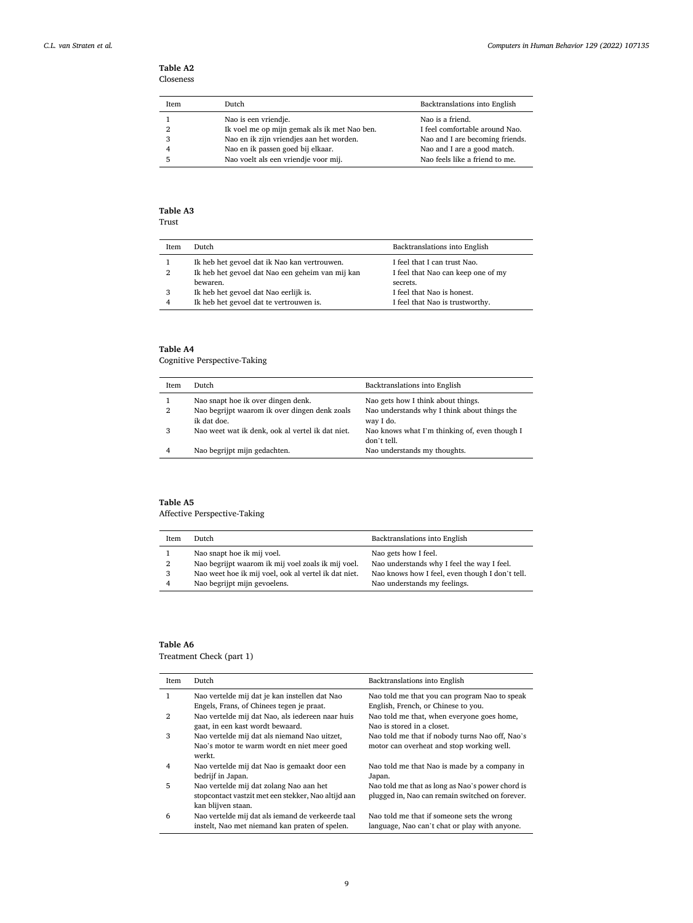## **Table A2**  Closeness

| <b>Item</b> | Dutch                                        | Backtranslations into English   |
|-------------|----------------------------------------------|---------------------------------|
|             | Nao is een vriendje.                         | Nao is a friend.                |
|             | Ik voel me op mijn gemak als ik met Nao ben. | I feel comfortable around Nao.  |
| 3           | Nao en ik zijn vriendjes aan het worden.     | Nao and I are becoming friends. |
|             | Nao en ik passen goed bij elkaar.            | Nao and I are a good match.     |
|             | Nao voelt als een vriendie voor mij.         | Nao feels like a friend to me.  |

# **Table A3**

| . .<br>×<br>٠<br>۰,<br>۰, |
|---------------------------|
|---------------------------|

| Item | Dutch                                            | Backtranslations into English      |
|------|--------------------------------------------------|------------------------------------|
|      | Ik heb het gevoel dat ik Nao kan vertrouwen.     | I feel that I can trust Nao.       |
| 2    | Ik heb het gevoel dat Nao een geheim van mij kan | I feel that Nao can keep one of my |
|      | bewaren.                                         | secrets.                           |
| 3    | Ik heb het gevoel dat Nao eerlijk is.            | I feel that Nao is honest.         |
| 4    | Ik heb het gevoel dat te vertrouwen is.          | I feel that Nao is trustworthy.    |

## **Table A4**

Cognitive Perspective-Taking

| Item | Dutch                                                        | Backtranslations into English                                |
|------|--------------------------------------------------------------|--------------------------------------------------------------|
|      | Nao snapt hoe ik over dingen denk.                           | Nao gets how I think about things.                           |
| 2    | Nao begrijpt waarom ik over dingen denk zoals<br>ik dat doe. | Nao understands why I think about things the<br>way I do.    |
| 3    | Nao weet wat ik denk, ook al vertel ik dat niet.             | Nao knows what I'm thinking of, even though I<br>don't tell. |
| 4    | Nao begrijpt mijn gedachten.                                 | Nao understands my thoughts.                                 |

# **Table A5**

Affective Perspective-Taking

|   |                                                      | Backtranslations into English                   |
|---|------------------------------------------------------|-------------------------------------------------|
|   | Nao snapt hoe ik mij voel.                           | Nao gets how I feel.                            |
| 2 | Nao begrijpt waarom ik mij voel zoals ik mij voel.   | Nao understands why I feel the way I feel.      |
| 3 | Nao weet hoe ik mij voel, ook al vertel ik dat niet. | Nao knows how I feel, even though I don't tell. |
| 4 | Nao begrijpt mijn gevoelens.                         | Nao understands my feelings.                    |

## **Table A6**

Treatment Check (part 1)

| Item           | Dutch                                                                                                                | Backtranslations into English                                                                       |
|----------------|----------------------------------------------------------------------------------------------------------------------|-----------------------------------------------------------------------------------------------------|
| 1              | Nao vertelde mij dat je kan instellen dat Nao                                                                        | Nao told me that you can program Nao to speak                                                       |
|                | Engels, Frans, of Chinees tegen je praat.                                                                            | English, French, or Chinese to you.                                                                 |
| $\overline{2}$ | Nao vertelde mij dat Nao, als iedereen naar huis<br>gaat, in een kast wordt bewaard.                                 | Nao told me that, when everyone goes home,<br>Nao is stored in a closet.                            |
| 3              | Nao vertelde mij dat als niemand Nao uitzet,<br>Nao's motor te warm wordt en niet meer goed<br>werkt.                | Nao told me that if nobody turns Nao off, Nao's<br>motor can overheat and stop working well.        |
| 4              | Nao vertelde mij dat Nao is gemaakt door een<br>bedrijf in Japan.                                                    | Nao told me that Nao is made by a company in<br>Japan.                                              |
| 5              | Nao vertelde mij dat zolang Nao aan het<br>stopcontact vastzit met een stekker, Nao altijd aan<br>kan blijven staan. | Nao told me that as long as Nao's power chord is<br>plugged in, Nao can remain switched on forever. |
| 6              | Nao vertelde mij dat als iemand de verkeerde taal<br>instelt, Nao met niemand kan praten of spelen.                  | Nao told me that if someone sets the wrong<br>language, Nao can't chat or play with anyone.         |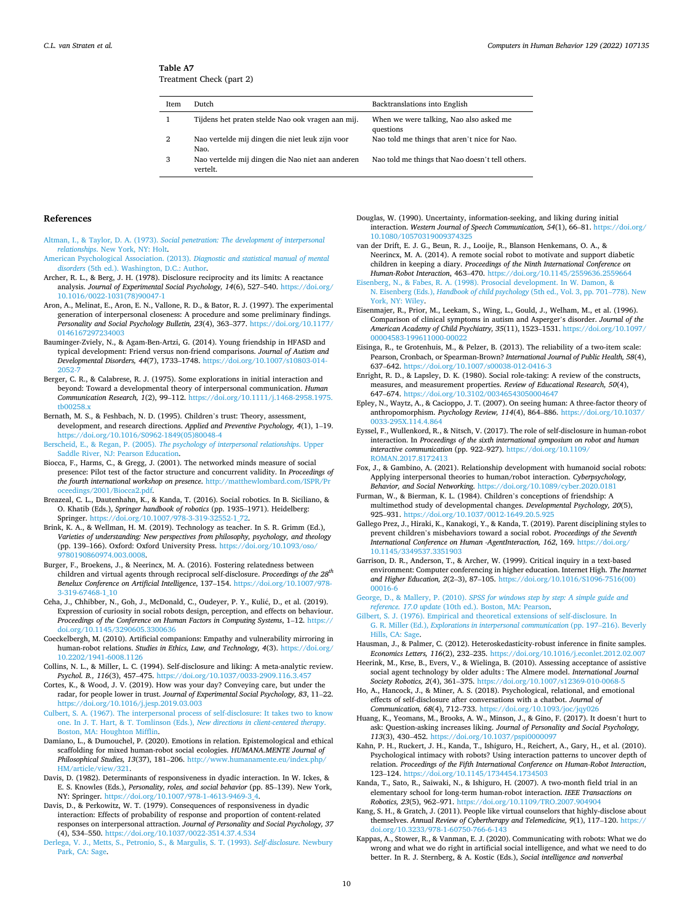#### <span id="page-10-0"></span>**Table A7**  Treatment Check (part 2)

| Item | Dutch                                                        | Backtranslations into English                        |
|------|--------------------------------------------------------------|------------------------------------------------------|
|      | Tijdens het praten stelde Nao ook vragen aan mij.            | When we were talking, Nao also asked me<br>questions |
| 2    | Nao vertelde mij dingen die niet leuk zijn voor<br>Nao.      | Nao told me things that aren't nice for Nao.         |
| 3    | Nao vertelde mij dingen die Nao niet aan anderen<br>vertelt. | Nao told me things that Nao doesn't tell others.     |

#### **References**

- Altman, I., & Taylor, D. A. (1973). *[Social penetration: The development of interpersonal](http://refhub.elsevier.com/S0747-5632(21)00458-1/sref1) relationships*[. New York, NY: Holt.](http://refhub.elsevier.com/S0747-5632(21)00458-1/sref1)
- [American Psychological Association. \(2013\).](http://refhub.elsevier.com/S0747-5632(21)00458-1/sref2) *Diagnostic and statistical manual of mental disorders* [\(5th ed.\). Washington, D.C.: Author](http://refhub.elsevier.com/S0747-5632(21)00458-1/sref2).
- Archer, R. L., & Berg, J. H. (1978). Disclosure reciprocity and its limits: A reactance analysis. *Journal of Experimental Social Psychology, 14*(6), 527–540. [https://doi.org/](https://doi.org/10.1016/0022-1031(78)90047-1)  [10.1016/0022-1031\(78\)90047-1](https://doi.org/10.1016/0022-1031(78)90047-1)
- Aron, A., Melinat, E., Aron, E. N., Vallone, R. D., & Bator, R. J. (1997). The experimental generation of interpersonal closeness: A procedure and some preliminary findings. *Personality and Social Psychology Bulletin, 23*(4), 363–377. [https://doi.org/10.1177/](https://doi.org/10.1177/0146167297234003)  [0146167297234003](https://doi.org/10.1177/0146167297234003)
- Bauminger-Zviely, N., & Agam-Ben-Artzi, G. (2014). Young friendship in HFASD and typical development: Friend versus non-friend comparisons. *Journal of Autism and Developmental Disorders, 44*(7), 1733–1748. [https://doi.org/10.1007/s10803-014-](https://doi.org/10.1007/s10803-014-2052-7)  2052
- Berger, C. R., & Calabrese, R. J. (1975). Some explorations in initial interaction and beyond: Toward a developmental theory of interpersonal communication. *Human Communication Research, 1*(2), 99–112. [https://doi.org/10.1111/j.1468-2958.1975.](https://doi.org/10.1111/j.1468-2958.1975.tb00258.x) [tb00258.x](https://doi.org/10.1111/j.1468-2958.1975.tb00258.x)
- Bernath, M. S., & Feshbach, N. D. (1995). Children's trust: Theory, assessment, development, and research directions. *Applied and Preventive Psychology, 4*(1), 1–19. [https://doi.org/10.1016/S0962-1849\(05\)80048-4](https://doi.org/10.1016/S0962-1849(05)80048-4)
- Berscheid, E., & Regan, P. (2005). *[The psychology of interpersonal relationships](http://refhub.elsevier.com/S0747-5632(21)00458-1/sref11)*. Upper [Saddle River, NJ: Pearson Education.](http://refhub.elsevier.com/S0747-5632(21)00458-1/sref11)
- Biocca, F., Harms, C., & Gregg, J. (2001). The networked minds measure of social presence: Pilot test of the factor structure and concurrent validity. In *Proceedings of the fourth international workshop on presence.* http://matthewlombard.com/ISPR/F edings/2001/Biocca2.pdf.
- Breazeal, C. L., Dautenhahn, K., & Kanda, T. (2016). Social robotics. In B. Siciliano, & O. Khatib (Eds.), *Springer handbook of robotics* (pp. 1935–1971). Heidelberg: Springer. [https://doi.org/10.1007/978-3-319-32552-1\\_72](https://doi.org/10.1007/978-3-319-32552-1_72).
- Brink, K. A., & Wellman, H. M. (2019). Technology as teacher. In S. R. Grimm (Ed.), *Varieties of understanding: New perspectives from philosophy, psychology, and theology*  (pp. 139–166). Oxford: Oxford University Press. [https://doi.org/10.1093/oso/](https://doi.org/10.1093/oso/9780190860974.003.0008) [9780190860974.003.0008.](https://doi.org/10.1093/oso/9780190860974.003.0008)
- Burger, F., Broekens, J., & Neerincx, M. A. (2016). Fostering relatedness between children and virtual agents through reciprocal self-disclosure. *Proceedings of the 28th Benelux Conference on Artificial Intelligence*, 137–154. [https://doi.org/10.1007/978-](https://doi.org/10.1007/978-3-319-67468-1_10)  [3-319-67468-1\\_10](https://doi.org/10.1007/978-3-319-67468-1_10)
- Ceha, J., Chhibber, N., Goh, J., McDonald, C., Oudeyer, P. Y., Kulić, D., et al. (2019). Expression of curiosity in social robots design, perception, and effects on behaviour. *Proceedings of the Conference on Human Factors in Computing Systems*, 1–12. [https://](https://doi.org/10.1145/3290605.3300636) [doi.org/10.1145/3290605.3300636](https://doi.org/10.1145/3290605.3300636)
- Coeckelbergh, M. (2010). Artificial companions: Empathy and vulnerability mirroring in human-robot relations. *Studies in Ethics, Law, and Technology, 4*(3). [https://doi.org/](https://doi.org/10.2202/1941-6008.1126)  [10.2202/1941-6008.1126](https://doi.org/10.2202/1941-6008.1126)
- Collins, N. L., & Miller, L. C. (1994). Self-disclosure and liking: A meta-analytic review. Psychol. B., 116(3), 457-475. https://doi.org/10.1037/0033-2909.116.3
- Cortes, K., & Wood, J. V. (2019). How was your day? Conveying care, but under the radar, for people lower in trust. *Journal of Experimental Social Psychology, 83*, 11–22. <https://doi.org/10.1016/j.jesp.2019.03.003>
- [Culbert, S. A. \(1967\). The interpersonal process of self-disclosure: It takes two to know](http://refhub.elsevier.com/S0747-5632(21)00458-1/sref20) [one. In J. T. Hart, & T. Tomlinson \(Eds.\),](http://refhub.elsevier.com/S0747-5632(21)00458-1/sref20) *New directions in client-centered therapy*. [Boston, MA: Houghton Mifflin.](http://refhub.elsevier.com/S0747-5632(21)00458-1/sref20)
- Damiano, L., & Dumouchel, P. (2020). Emotions in relation. Epistemological and ethical scaffolding for mixed human-robot social ecologies. *HUMANA.MENTE Journal of Philosophical Studies, 13*(37), 181–206. [http://www.humanamente.eu/index.php/](http://www.humanamente.eu/index.php/HM/article/view/321)  [HM/article/view/321](http://www.humanamente.eu/index.php/HM/article/view/321).
- Davis, D. (1982). Determinants of responsiveness in dyadic interaction. In W. Ickes, & E. S. Knowles (Eds.), *Personality, roles, and social behavior* (pp. 85–139). New York, NY: Springer. [https://doi.org/10.1007/978-1-4613-9469-3\\_4](https://doi.org/10.1007/978-1-4613-9469-3_4).
- Davis, D., & Perkowitz, W. T. (1979). Consequences of responsiveness in dyadic interaction: Effects of probability of response and proportion of content-related responses on interpersonal attraction. *Journal of Personality and Social Psychology, 37*  (4), 534–550.<https://doi.org/10.1037/0022-3514.37.4.534>
- [Derlega, V. J., Metts, S., Petronio, S., & Margulis, S. T. \(1993\).](http://refhub.elsevier.com/S0747-5632(21)00458-1/sref24) *Self-disclosure*. Newbury [Park, CA: Sage.](http://refhub.elsevier.com/S0747-5632(21)00458-1/sref24)
- Douglas, W. (1990). Uncertainty, information-seeking, and liking during initial interaction. *Western Journal of Speech Communication, 54*(1), 66–81. [https://doi.org/](https://doi.org/10.1080/10570319009374325)  [10.1080/10570319009374325](https://doi.org/10.1080/10570319009374325)
- van der Drift, E. J. G., Beun, R. J., Looije, R., Blanson Henkemans, O. A., & Neerincx, M. A. (2014). A remote social robot to motivate and support diabetic children in keeping a diary. *Proceedings of the Ninth International Conference on Human-Robot Interaction*, 463–470. <https://doi.org/10.1145/2559636.2559664>
- enberg, N., & Fabes, R. A. (1998). Prosocial development. In W. Damon, & N. Eisenberg (Eds.), *[Handbook of child psychology](http://refhub.elsevier.com/S0747-5632(21)00458-1/sref27)* (5th ed., Vol. 3, pp. 701–778). New [York, NY: Wiley.](http://refhub.elsevier.com/S0747-5632(21)00458-1/sref27)
- Eisenmajer, R., Prior, M., Leekam, S., Wing, L., Gould, J., Welham, M., et al. (1996). Comparison of clinical symptoms in autism and Asperger's disorder. *Journal of the American Academy of Child Psychiatry, 35*(11), 1523–1531. [https://doi.org/10.1097/](https://doi.org/10.1097/00004583-199611000-00022)  [00004583-199611000-00022](https://doi.org/10.1097/00004583-199611000-00022)
- Eisinga, R., te Grotenhuis, M., & Pelzer, B. (2013). The reliability of a two-item scale: Pearson, Cronbach, or Spearman-Brown? *International Journal of Public Health, 58*(4), 637–642. <https://doi.org/10.1007/s00038-012-0416-3>
- Enright, R. D., & Lapsley, D. K. (1980). Social role-taking: A review of the constructs, measures, and measurement properties. *Review of Educational Research, 50*(4), 647–674. <https://doi.org/10.3102/00346543050004647>
- Epley, N., Waytz, A., & Cacioppo, J. T. (2007). On seeing human: A three-factor theory of anthropomorphism. *Psychology Review, 114*(4), 864–886. [https://doi.org/10.1037/](https://doi.org/10.1037/0033-295X.114.4.864) [0033-295X.114.4.864](https://doi.org/10.1037/0033-295X.114.4.864)
- Eyssel, F., Wullenkord, R., & Nitsch, V. (2017). The role of self-disclosure in human-robot interaction. In *Proceedings of the sixth international symposium on robot and human interactive communication* (pp. 922–927). [https://doi.org/10.1109/](https://doi.org/10.1109/ROMAN.2017.8172413) [ROMAN.2017.8172413](https://doi.org/10.1109/ROMAN.2017.8172413)
- Fox, J., & Gambino, A. (2021). Relationship development with humanoid social robots: Applying interpersonal theories to human/robot interaction. *Cyberpsychology, Behavior, and Social Networking*. <https://doi.org/10.1089/cyber.2020.0181>
- Furman, W., & Bierman, K. L. (1984). Children's conceptions of friendship: A multimethod study of developmental changes. *Developmental Psychology, 20*(5), 925–931. <https://doi.org/10.1037/0012-1649.20.5.925>
- Gallego Prez, J., Hiraki, K., Kanakogi, Y., & Kanda, T. (2019). Parent disciplining styles to prevent children's misbehaviors toward a social robot. *Proceedings of the Seventh International Conference on Human -AgentInteraction, 162*, 169. [https://doi.org/](https://doi.org/10.1145/3349537.3351903)  [10.1145/3349537.3351903](https://doi.org/10.1145/3349537.3351903)
- Garrison, D. R., Anderson, T., & Archer, W. (1999). Critical inquiry in a text-based environment: Computer conferencing in higher education. Internet High. *The Internet and Higher Education, 2*(2–3), 87–105. [https://doi.org/10.1016/S1096-7516\(00\)](https://doi.org/10.1016/S1096-7516(00)00016-6) [00016-6](https://doi.org/10.1016/S1096-7516(00)00016-6)

George, D., & Mallery, P. (2010). *[SPSS for windows step by step: A simple guide and](http://refhub.elsevier.com/S0747-5632(21)00458-1/sref37) reference. 17.0 update* [\(10th ed.\). Boston, MA: Pearson](http://refhub.elsevier.com/S0747-5632(21)00458-1/sref37).

- [Gilbert, S. J. \(1976\). Empirical and theoretical extensions of self-disclosure. In](http://refhub.elsevier.com/S0747-5632(21)00458-1/sref38) G. R. Miller (Ed.), *[Explorations in interpersonal communication](http://refhub.elsevier.com/S0747-5632(21)00458-1/sref38)* (pp. 197–216). Beverly [Hills, CA: Sage.](http://refhub.elsevier.com/S0747-5632(21)00458-1/sref38)
- Hausman, J., & Palmer, C. (2012). Heteroskedasticity-robust inference in finite samples. *Economics Letters, 116*(2), 232–235. <https://doi.org/10.1016/j.econlet.2012.02.007>
- Heerink, M., Krse, B., Evers, V., & Wielinga, B. (2010). Assessing acceptance of assistive social agent technology by older adults : The Almere model. *International Journal Society Robotics, 2*(4), 361–375.<https://doi.org/10.1007/s12369-010-0068-5>
- Ho, A., Hancock, J., & Miner, A. S. (2018). Psychological, relational, and emotional effects of self-disclosure after conversations with a chatbot. *Journal of Communication, 68*(4), 712–733.<https://doi.org/10.1093/joc/jqy026>
- Huang, K., Yeomans, M., Brooks, A. W., Minson, J., & Gino, F. (2017). It doesn't hurt to ask: Question-asking increases liking. *Journal of Personality and Social Psychology, 113*(3), 430–452. <https://doi.org/10.1037/pspi0000097>
- Kahn, P. H., Ruckert, J. H., Kanda, T., Ishiguro, H., Reichert, A., Gary, H., et al. (2010). Psychological intimacy with robots? Using interaction patterns to uncover depth of relation. *Proceedings of the Fifth International Conference on Human-Robot Interaction*, 123–124. <https://doi.org/10.1145/1734454.1734503>
- Kanda, T., Sato, R., Saiwaki, N., & Ishiguro, H. (2007). A two-month field trial in an elementary school for long-term human-robot interaction. *IEEE Transactions on Robotics, 23*(5), 962–971. <https://doi.org/10.1109/TRO.2007.904904>
- Kang, S. H., & Gratch, J. (2011). People like virtual counselors that highly-disclose about themselves. *Annual Review of Cybertherapy and Telemedicine, 9*(1), 117–120. [https://](https://doi.org/10.3233/978-1-60750-766-6-143)  [doi.org/10.3233/978-1-60750-766-6-143](https://doi.org/10.3233/978-1-60750-766-6-143)
- Kappas, A., Stower, R., & Vanman, E. J. (2020). Communicating with robots: What we do wrong and what we do right in artificial social intelligence, and what we need to do better. In R. J. Sternberg, & A. Kostic (Eds.), *Social intelligence and nonverbal*